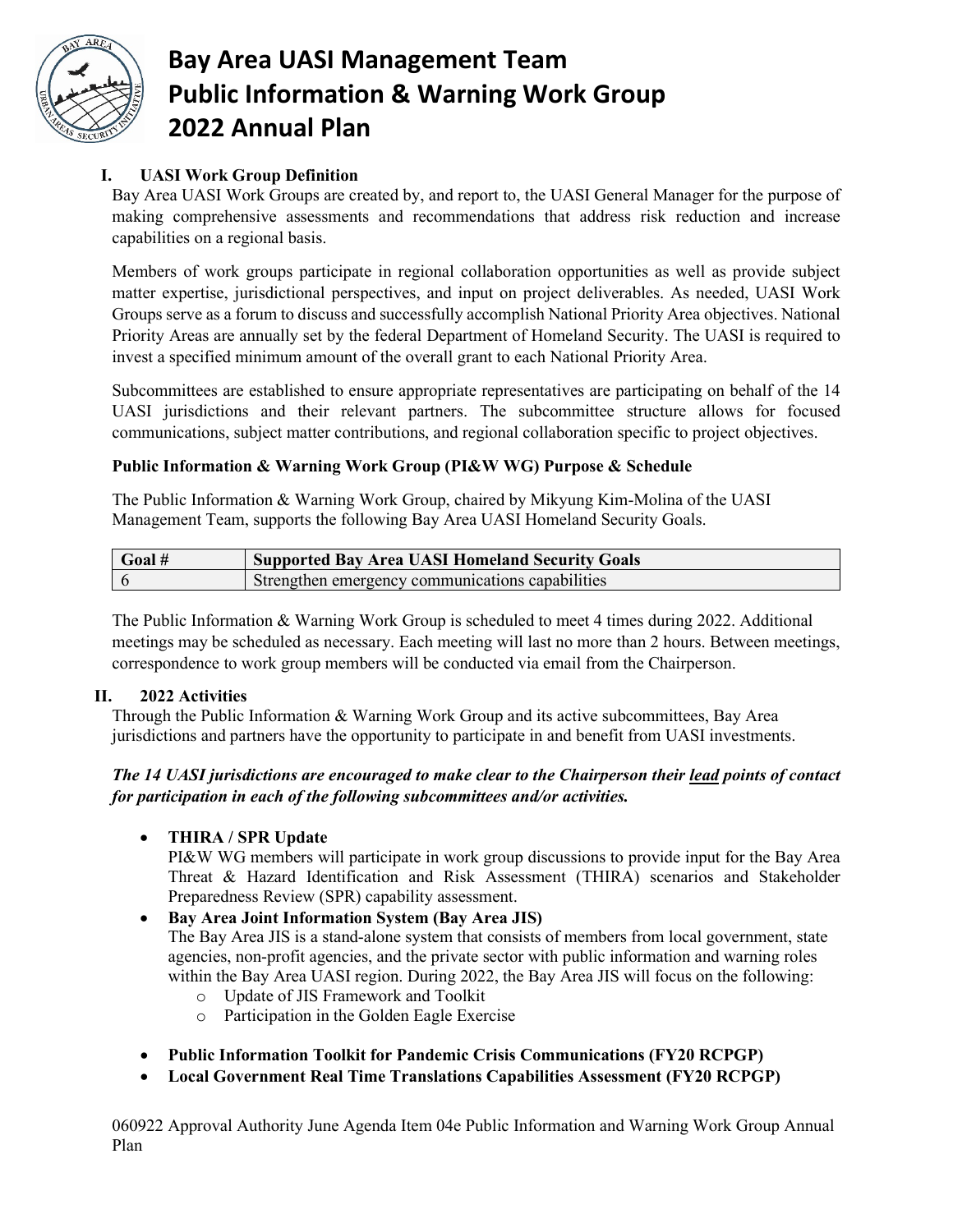

# **Bay Area UASI Management Team Public Information & Warning Work Group 2022 Annual Plan**

### **I. UASI Work Group Definition**

Bay Area UASI Work Groups are created by, and report to, the UASI General Manager for the purpose of making comprehensive assessments and recommendations that address risk reduction and increase capabilities on a regional basis.

Members of work groups participate in regional collaboration opportunities as well as provide subject matter expertise, jurisdictional perspectives, and input on project deliverables. As needed, UASI Work Groups serve as a forum to discuss and successfully accomplish National Priority Area objectives. National Priority Areas are annually set by the federal Department of Homeland Security. The UASI is required to invest a specified minimum amount of the overall grant to each National Priority Area.

Subcommittees are established to ensure appropriate representatives are participating on behalf of the 14 UASI jurisdictions and their relevant partners. The subcommittee structure allows for focused communications, subject matter contributions, and regional collaboration specific to project objectives.

#### **Public Information & Warning Work Group (PI&W WG) Purpose & Schedule**

The Public Information & Warning Work Group, chaired by Mikyung Kim-Molina of the UASI Management Team, supports the following Bay Area UASI Homeland Security Goals.

| Goal # | <b>Supported Bay Area UASI Homeland Security Goals</b> |
|--------|--------------------------------------------------------|
|        | Strengthen emergency communications capabilities       |

The Public Information & Warning Work Group is scheduled to meet 4 times during 2022. Additional meetings may be scheduled as necessary. Each meeting will last no more than 2 hours. Between meetings, correspondence to work group members will be conducted via email from the Chairperson.

#### **II. 2022 Activities**

Through the Public Information & Warning Work Group and its active subcommittees, Bay Area jurisdictions and partners have the opportunity to participate in and benefit from UASI investments.

### *The 14 UASI jurisdictions are encouraged to make clear to the Chairperson their lead points of contact for participation in each of the following subcommittees and/or activities.*

• **THIRA / SPR Update**

PI&W WG members will participate in work group discussions to provide input for the Bay Area Threat & Hazard Identification and Risk Assessment (THIRA) scenarios and Stakeholder Preparedness Review (SPR) capability assessment.

### • **Bay Area Joint Information System (Bay Area JIS)**

The Bay Area JIS is a stand-alone system that consists of members from local government, state agencies, non-profit agencies, and the private sector with public information and warning roles within the Bay Area UASI region. During 2022, the Bay Area JIS will focus on the following:

- o Update of JIS Framework and Toolkit
- o Participation in the Golden Eagle Exercise
- **Public Information Toolkit for Pandemic Crisis Communications (FY20 RCPGP)**
- **Local Government Real Time Translations Capabilities Assessment (FY20 RCPGP)**

060922 Approval Authority June Agenda Item 04e Public Information and Warning Work Group Annual Plan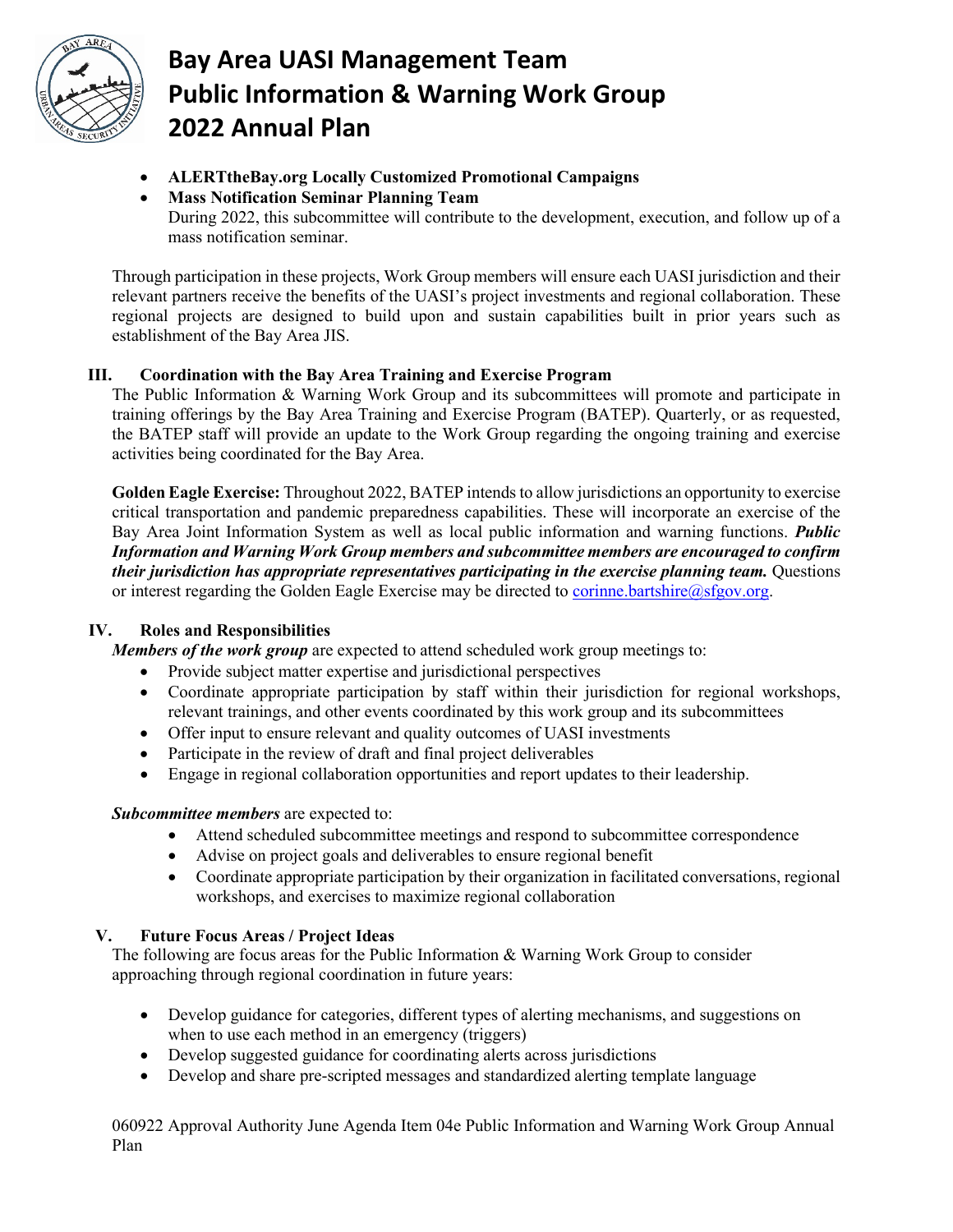

## **Bay Area UASI Management Team Public Information & Warning Work Group 2022 Annual Plan**

- **ALERTtheBay.org Locally Customized Promotional Campaigns**
- **Mass Notification Seminar Planning Team** During 2022, this subcommittee will contribute to the development, execution, and follow up of a mass notification seminar.

Through participation in these projects, Work Group members will ensure each UASI jurisdiction and their relevant partners receive the benefits of the UASI's project investments and regional collaboration. These regional projects are designed to build upon and sustain capabilities built in prior years such as establishment of the Bay Area JIS.

### **III. Coordination with the Bay Area Training and Exercise Program**

The Public Information & Warning Work Group and its subcommittees will promote and participate in training offerings by the Bay Area Training and Exercise Program (BATEP). Quarterly, or as requested, the BATEP staff will provide an update to the Work Group regarding the ongoing training and exercise activities being coordinated for the Bay Area.

**Golden Eagle Exercise:** Throughout 2022, BATEP intends to allow jurisdictions an opportunity to exercise critical transportation and pandemic preparedness capabilities. These will incorporate an exercise of the Bay Area Joint Information System as well as local public information and warning functions. *Public Information and Warning Work Group members and subcommittee members are encouraged to confirm their jurisdiction has appropriate representatives participating in the exercise planning team.* Questions or interest regarding the Golden Eagle Exercise may be directed to [corinne.bartshire@sfgov.org.](mailto:corinne.bartshire@sfgov.org)

### **IV. Roles and Responsibilities**

*Members of the work group* are expected to attend scheduled work group meetings to:

- Provide subject matter expertise and jurisdictional perspectives
- Coordinate appropriate participation by staff within their jurisdiction for regional workshops, relevant trainings, and other events coordinated by this work group and its subcommittees
- Offer input to ensure relevant and quality outcomes of UASI investments
- Participate in the review of draft and final project deliverables
- Engage in regional collaboration opportunities and report updates to their leadership.

### *Subcommittee members* are expected to:

- Attend scheduled subcommittee meetings and respond to subcommittee correspondence
- Advise on project goals and deliverables to ensure regional benefit
- Coordinate appropriate participation by their organization in facilitated conversations, regional workshops, and exercises to maximize regional collaboration

### **V. Future Focus Areas / Project Ideas**

The following are focus areas for the Public Information  $\&$  Warning Work Group to consider approaching through regional coordination in future years:

- Develop guidance for categories, different types of alerting mechanisms, and suggestions on when to use each method in an emergency (triggers)
- Develop suggested guidance for coordinating alerts across jurisdictions
- Develop and share pre-scripted messages and standardized alerting template language

060922 Approval Authority June Agenda Item 04e Public Information and Warning Work Group Annual Plan